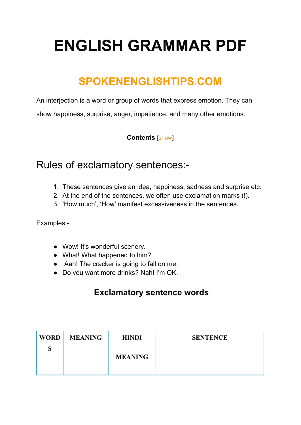# **ENGLISH GRAMMAR PDF**

## **SPOKENENGLISHTIPS.COM**

An interjection is a word or group of words that express emotion. They can show happiness, surprise, anger, impatience, and many other emotions.

#### **Contents** [\[show](https://spokenenglishtips.com/interjection-grammar-diffination-of-interjection/#)]

### Rules of exclamatory sentences:-

- 1. These sentences give an idea, happiness, sadness and surprise etc.
- 2. At the end of the sentences, we often use exclamation marks (!).
- 3. 'How much', 'How' manifest excessiveness in the sentences.

Examples:-

- Wow! It's wonderful scenery.
- What! What happened to him?
- Aah! The cracker is going to fall on me.
- Do you want more drinks? Nah! I'm OK.

#### **Exclamatory sentence words**

| <b>WORD</b> | <b>MEANING</b> | <b>HINDI</b>   | <b>SENTENCE</b> |
|-------------|----------------|----------------|-----------------|
| S           |                | <b>MEANING</b> |                 |
|             |                |                |                 |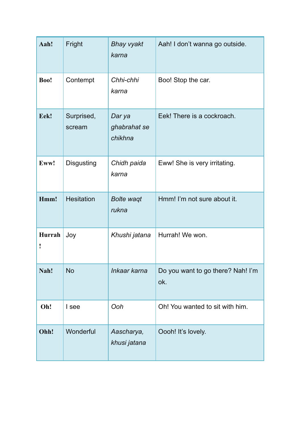| Aah!        | Fright               | <b>Bhay vyakt</b><br>karna        | Aah! I don't wanna go outside.           |
|-------------|----------------------|-----------------------------------|------------------------------------------|
| Boo!        | Contempt             | Chhi-chhi<br>karna                | Boo! Stop the car.                       |
| Eek!        | Surprised,<br>scream | Dar ya<br>ghabrahat se<br>chikhna | Eek! There is a cockroach.               |
| Eww!        | <b>Disgusting</b>    | Chidh paida<br>karna              | Eww! She is very irritating.             |
| Hmm!        | <b>Hesitation</b>    | <b>Bolte waqt</b><br>rukna        | Hmm! I'm not sure about it.              |
| Hurrah<br>I | Joy                  | Khushi jatana                     | Hurrah! We won.                          |
| Nah!        | <b>No</b>            | Inkaar karna                      | Do you want to go there? Nah! I'm<br>ok. |
| Oh!         | I see                | Ooh                               | Oh! You wanted to sit with him.          |
| Ohh!        | Wonderful            | Aascharya,<br>khusi jatana        | Oooh! It's lovely.                       |